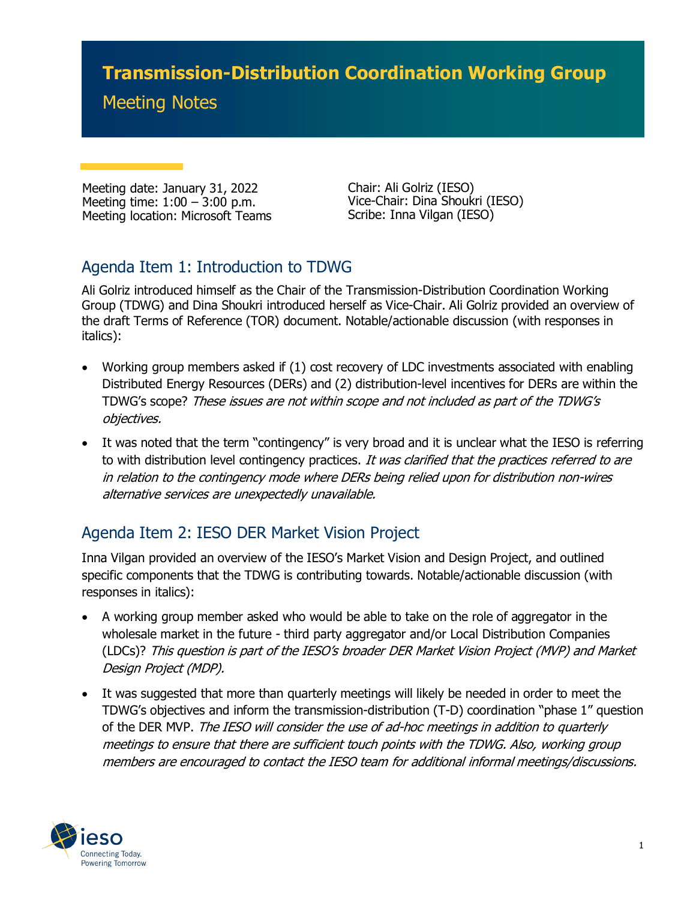# **Transmission-Distribution Coordination Working Group**

### Meeting Notes

Meeting date: January 31, 2022 Meeting time: 1:00 – 3:00 p.m. Meeting location: Microsoft Teams

Chair: Ali Golriz (IESO) Vice-Chair: Dina Shoukri (IESO) Scribe: Inna Vilgan (IESO)

### Agenda Item 1: Introduction to TDWG

Ali Golriz introduced himself as the Chair of the Transmission-Distribution Coordination Working Group (TDWG) and Dina Shoukri introduced herself as Vice-Chair. Ali Golriz provided an overview of the draft Terms of Reference (TOR) document. Notable/actionable discussion (with responses in italics):

- Working group members asked if (1) cost recovery of LDC investments associated with enabling Distributed Energy Resources (DERs) and (2) distribution-level incentives for DERs are within the TDWG's scope? These issues are not within scope and not included as part of the TDWG's objectives.
- It was noted that the term "contingency" is very broad and it is unclear what the IESO is referring to with distribution level contingency practices. It was clarified that the practices referred to are in relation to the contingency mode where DERs being relied upon for distribution non-wires alternative services are unexpectedly unavailable.

#### Agenda Item 2: IESO DER Market Vision Project

Inna Vilgan provided an overview of the IESO's Market Vision and Design Project, and outlined specific components that the TDWG is contributing towards. Notable/actionable discussion (with responses in italics):

- A working group member asked who would be able to take on the role of aggregator in the wholesale market in the future - third party aggregator and/or Local Distribution Companies (LDCs)? This question is part of the IESO's broader DER Market Vision Project (MVP) and Market Design Project (MDP).
- It was suggested that more than quarterly meetings will likely be needed in order to meet the TDWG's objectives and inform the transmission-distribution (T-D) coordination "phase 1" question of the DER MVP. The IESO will consider the use of ad-hoc meetings in addition to quarterly meetings to ensure that there are sufficient touch points with the TDWG. Also, working group members are encouraged to contact the IESO team for additional informal meetings/discussions.

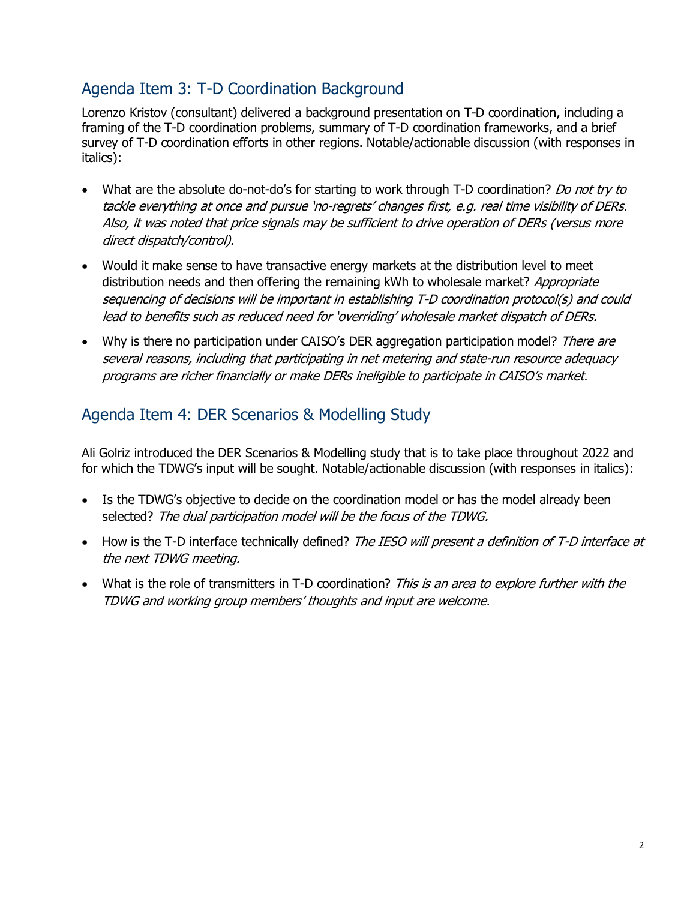#### Agenda Item 3: T-D Coordination Background

Lorenzo Kristov (consultant) delivered a background presentation on T-D coordination, including a framing of the T-D coordination problems, summary of T-D coordination frameworks, and a brief survey of T-D coordination efforts in other regions. Notable/actionable discussion (with responses in italics):

- What are the absolute do-not-do's for starting to work through T-D coordination? Do not try to tackle everything at once and pursue 'no-regrets' changes first, e.g. real time visibility of DERs. Also, it was noted that price signals may be sufficient to drive operation of DERs (versus more direct dispatch/control).
- Would it make sense to have transactive energy markets at the distribution level to meet distribution needs and then offering the remaining kWh to wholesale market? Appropriate sequencing of decisions will be important in establishing T-D coordination protocol(s) and could lead to benefits such as reduced need for 'overriding' wholesale market dispatch of DERs.
- Why is there no participation under CAISO's DER aggregation participation model? There are several reasons, including that participating in net metering and state-run resource adequacy programs are richer financially or make DERs ineligible to participate in CAISO's market.

#### Agenda Item 4: DER Scenarios & Modelling Study

Ali Golriz introduced the DER Scenarios & Modelling study that is to take place throughout 2022 and for which the TDWG's input will be sought. Notable/actionable discussion (with responses in italics):

- Is the TDWG's objective to decide on the coordination model or has the model already been selected? The dual participation model will be the focus of the TDWG.
- How is the T-D interface technically defined? The IESO will present a definition of T-D interface at the next TDWG meeting.
- What is the role of transmitters in T-D coordination? This is an area to explore further with the TDWG and working group members' thoughts and input are welcome.